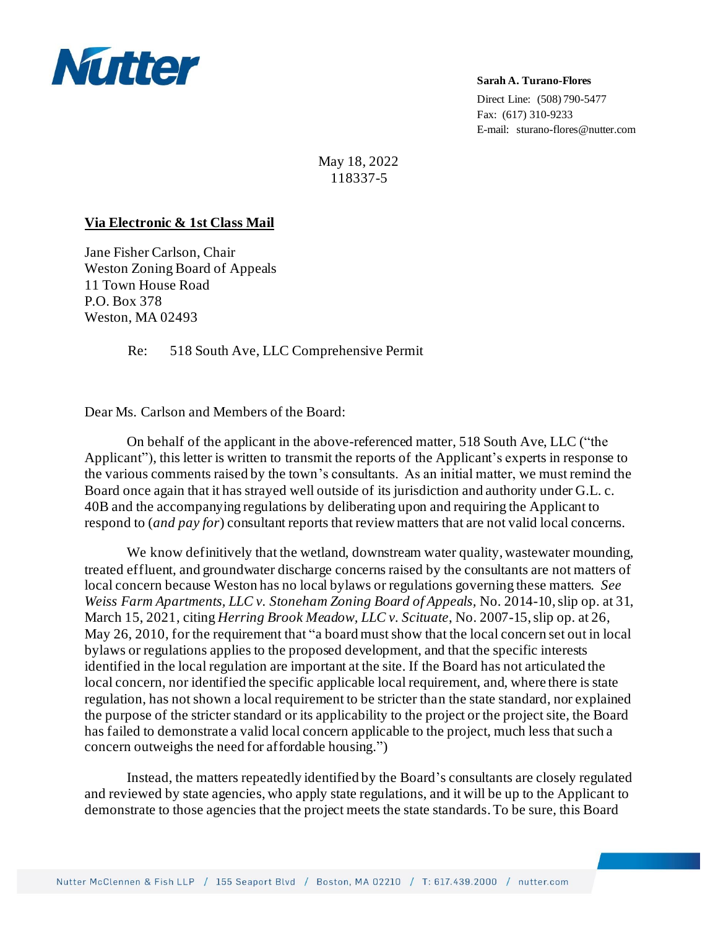

**Sarah A. Turano-Flores**

Direct Line: (508) 790-5477 Fax: (617) 310-9233 E-mail: sturano-flores@nutter.com

May 18, 2022 118337-5

## **Via Electronic & 1st Class Mail**

Jane Fisher Carlson, Chair Weston Zoning Board of Appeals 11 Town House Road P.O. Box 378 Weston, MA 02493

Re: 518 South Ave, LLC Comprehensive Permit

Dear Ms. Carlson and Members of the Board:

On behalf of the applicant in the above-referenced matter, 518 South Ave, LLC ("the Applicant"), this letter is written to transmit the reports of the Applicant's experts in response to the various comments raised by the town's consultants. As an initial matter, we must remind the Board once again that it has strayed well outside of its jurisdiction and authority under G.L. c. 40B and the accompanying regulations by deliberating upon and requiring the Applicant to respond to (*and pay for*) consultant reports that review matters that are not valid local concerns.

We know definitively that the wetland, downstream water quality, wastewater mounding, treated effluent, and groundwater discharge concerns raised by the consultants are not matters of local concern because Weston has no local bylaws or regulations governing these matters. *See Weiss Farm Apartments, LLC v. Stoneham Zoning Board of Appeals,* No. 2014-10, slip op. at 31, March 15, 2021, citing *Herring Brook Meadow, LLC v. Scituate*, No. 2007-15, slip op. at 26, May 26, 2010, for the requirement that "a board must show that the local concern set out in local bylaws or regulations applies to the proposed development, and that the specific interests identified in the local regulation are important at the site. If the Board has not articulated the local concern, nor identified the specific applicable local requirement, and, where there is state regulation, has not shown a local requirement to be stricter than the state standard, nor explained the purpose of the stricter standard or its applicability to the project or the project site, the Board has failed to demonstrate a valid local concern applicable to the project, much less that such a concern outweighs the need for affordable housing.")

Instead, the matters repeatedly identified by the Board's consultants are closely regulated and reviewed by state agencies, who apply state regulations, and it will be up to the Applicant to demonstrate to those agencies that the project meets the state standards.To be sure, this Board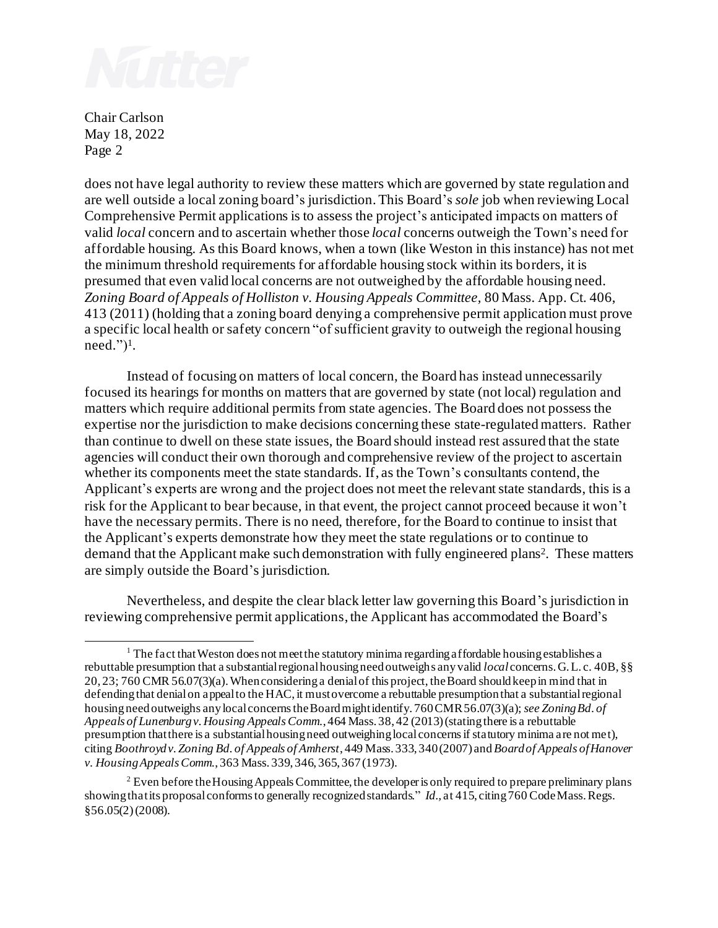

Chair Carlson May 18, 2022 Page 2

does not have legal authority to review these matters which are governed by state regulation and are well outside a local zoning board's jurisdiction. This Board's *sole* job when reviewing Local Comprehensive Permit applications is to assess the project's anticipated impacts on matters of valid *local* concern and to ascertain whether those *local* concerns outweigh the Town's need for affordable housing. As this Board knows, when a town (like Weston in this instance) has not met the minimum threshold requirements for affordable housing stock within its borders, it is presumed that even valid local concerns are not outweighed by the affordable housing need. *Zoning Board of Appeals of Holliston v. Housing Appeals Committee,* 80 Mass. App. Ct. 406, 413 (2011) (holding that a zoning board denying a comprehensive permit application must prove a specific local health or safety concern "of sufficient gravity to outweigh the regional housing need." $)^{1}$ .

Instead of focusing on matters of local concern, the Board has instead unnecessarily focused its hearings for months on matters that are governed by state (not local) regulation and matters which require additional permits from state agencies. The Board does not possess the expertise nor the jurisdiction to make decisions concerning these state-regulated matters. Rather than continue to dwell on these state issues, the Board should instead rest assured that the state agencies will conduct their own thorough and comprehensive review of the project to ascertain whether its components meet the state standards. If, as the Town's consultants contend, the Applicant's experts are wrong and the project does not meet the relevant state standards, this is a risk for the Applicant to bear because, in that event, the project cannot proceed because it won't have the necessary permits. There is no need, therefore, for the Board to continue to insist that the Applicant's experts demonstrate how they meet the state regulations or to continue to demand that the Applicant make such demonstration with fully engineered plans<sup>2</sup>. These matters are simply outside the Board's jurisdiction.

Nevertheless, and despite the clear black letter law governing this Board's jurisdiction in reviewing comprehensive permit applications, the Applicant has accommodated the Board's

 $1$  The fact that Weston does not meet the statutory minima regarding affordable housing establishes a rebuttable presumption that a substantial regional housing need outweighs any valid *local* concerns. G. L. c. 40B, §§ 20, 23; 760 CMR 56.07(3)(a). When considering a denial of this project, the Board should keep in mind that in defending that denial on appeal to the HAC, it must overcome a rebuttable presumption that a substantial regional housing need outweighs anylocal concerns the Board might identify. 760 CMR 56.07(3)(a); *see Zoning Bd. of Appeals of Lunenburg v. Housing Appeals Comm.*, 464 Mass. 38, 42 (2013) (stating there is a rebuttable presumption that there is a substantial housing need outweighing local concerns if statutory minima are not met), citing *Boothroyd v. Zoning Bd. of Appeals of Amherst*, 449 Mass. 333, 340 (2007) and *Board of Appeals of Hanover v. Housing Appeals Comm.*, 363 Mass. 339, 346, 365, 367 (1973).

 $2$  Even before the Housing Appeals Committee, the developer is only required to prepare preliminary plans showing that its proposal conforms to generally recognized standards." *Id.,* at 415, citing 760 Code Mass. Regs. §56.05(2) (2008).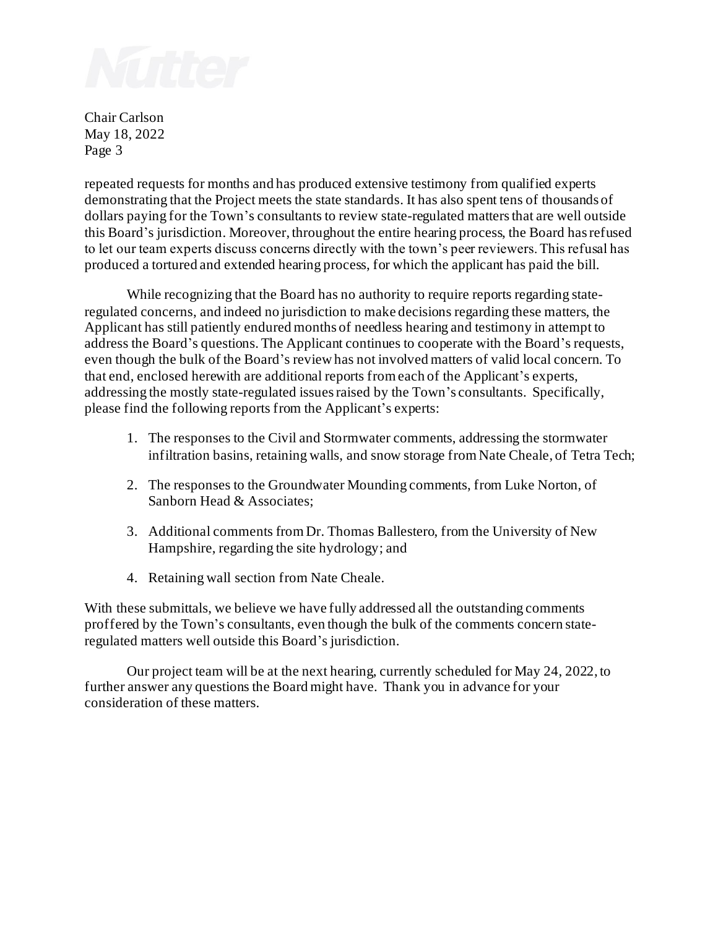

Chair Carlson May 18, 2022 Page 3

repeated requests for months and has produced extensive testimony from qualified experts demonstrating that the Project meets the state standards. It has also spent tens of thousands of dollars paying for the Town's consultants to review state-regulated matters that are well outside this Board's jurisdiction. Moreover, throughout the entire hearing process, the Board has refused to let our team experts discuss concerns directly with the town's peer reviewers. This refusal has produced a tortured and extended hearing process, for which the applicant has paid the bill.

While recognizing that the Board has no authority to require reports regarding stateregulated concerns, and indeed no jurisdiction to make decisions regarding these matters, the Applicant has still patiently endured months of needless hearing and testimony in attempt to address the Board's questions. The Applicant continues to cooperate with the Board's requests, even though the bulk of the Board's review has not involved matters of valid local concern. To that end, enclosed herewith are additional reports from each of the Applicant's experts, addressing the mostly state-regulated issues raised by the Town's consultants. Specifically, please find the following reports from the Applicant's experts:

- 1. The responses to the Civil and Stormwater comments, addressing the stormwater infiltration basins, retaining walls, and snow storage from Nate Cheale, of Tetra Tech;
- 2. The responses to the Groundwater Mounding comments, from Luke Norton, of Sanborn Head & Associates;
- 3. Additional comments from Dr. Thomas Ballestero, from the University of New Hampshire, regarding the site hydrology; and
- 4. Retaining wall section from Nate Cheale.

With these submittals, we believe we have fully addressed all the outstanding comments proffered by the Town's consultants, even though the bulk of the comments concern stateregulated matters well outside this Board's jurisdiction.

Our project team will be at the next hearing, currently scheduled for May 24, 2022, to further answer any questions the Board might have. Thank you in advance for your consideration of these matters.